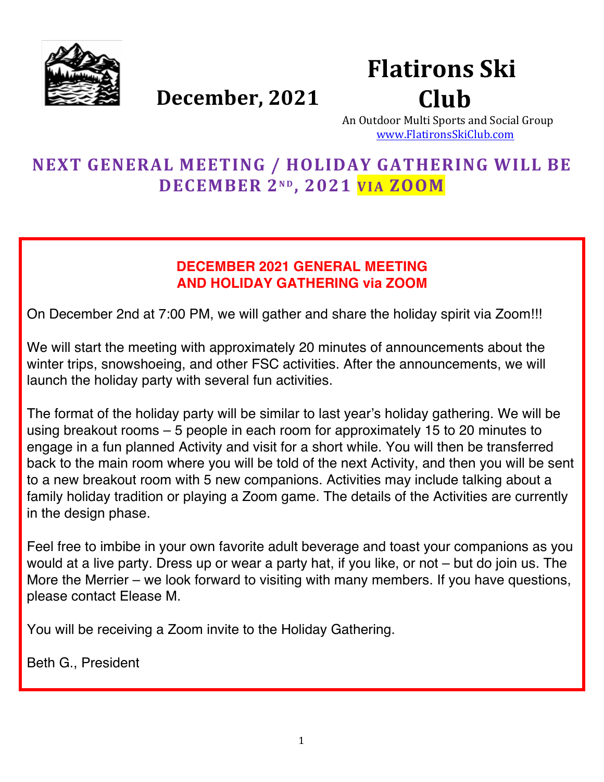

# December, 2021

# **Flatirons Ski** Club

An Outdoor Multi Sports and Social Group www.FlatironsSkiClub.com

# **NEXT GENERAL MEETING / HOLIDAY GATHERING WILL BE DECEMBER 2N D , 2021 VIA ZOOM**

### **DECEMBER 2021 GENERAL MEETING AND HOLIDAY GATHERING via ZOOM**

On December 2nd at 7:00 PM, we will gather and share the holiday spirit via Zoom!!!

We will start the meeting with approximately 20 minutes of announcements about the winter trips, snowshoeing, and other FSC activities. After the announcements, we will launch the holiday party with several fun activities.

The format of the holiday party will be similar to last year's holiday gathering. We will be using breakout rooms – 5 people in each room for approximately 15 to 20 minutes to engage in a fun planned Activity and visit for a short while. You will then be transferred back to the main room where you will be told of the next Activity, and then you will be sent to a new breakout room with 5 new companions. Activities may include talking about a family holiday tradition or playing a Zoom game. The details of the Activities are currently in the design phase.

Feel free to imbibe in your own favorite adult beverage and toast your companions as you would at a live party. Dress up or wear a party hat, if you like, or not – but do join us. The More the Merrier – we look forward to visiting with many members. If you have questions, please contact Elease M.

You will be receiving a Zoom invite to the Holiday Gathering.

Beth G., President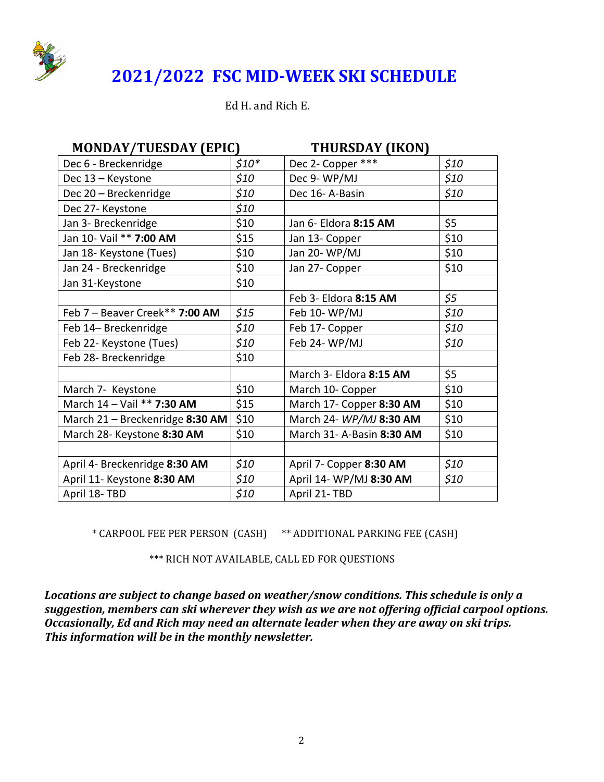

# **2021/2022 FSC MID-WEEK SKI SCHEDULE**

Ed H. and Rich E.

| <b>MONDAY/TUESDAY (EPIC)</b>    | <b>THURSDAY (IKON)</b> |                           |      |  |
|---------------------------------|------------------------|---------------------------|------|--|
| Dec 6 - Breckenridge            | $$10*$                 | Dec 2- Copper ***         | \$10 |  |
| Dec 13 - Keystone               | \$10                   | Dec 9- WP/MJ              | \$10 |  |
| Dec 20 - Breckenridge           | \$10                   | Dec 16-A-Basin            | \$10 |  |
| Dec 27- Keystone                | \$10                   |                           |      |  |
| Jan 3- Breckenridge             | \$10                   | Jan 6- Eldora 8:15 AM     | \$5  |  |
| Jan 10- Vail ** 7:00 AM         | \$15                   | Jan 13- Copper            | \$10 |  |
| Jan 18- Keystone (Tues)         | \$10                   | Jan 20-WP/MJ              | \$10 |  |
| Jan 24 - Breckenridge           | \$10                   | Jan 27- Copper            | \$10 |  |
| Jan 31-Keystone                 | \$10                   |                           |      |  |
|                                 |                        | Feb 3- Eldora 8:15 AM     | \$5  |  |
| Feb 7 - Beaver Creek** 7:00 AM  | \$15                   | Feb 10-WP/MJ              | \$10 |  |
| Feb 14- Breckenridge            | \$10                   | Feb 17- Copper            | \$10 |  |
| Feb 22- Keystone (Tues)         | \$10                   | Feb 24-WP/MJ              | \$10 |  |
| Feb 28- Breckenridge            | \$10                   |                           |      |  |
|                                 |                        | March 3- Eldora 8:15 AM   | \$5  |  |
| March 7- Keystone               | \$10                   | March 10- Copper          | \$10 |  |
| March 14 - Vail ** 7:30 AM      | \$15                   | March 17- Copper 8:30 AM  | \$10 |  |
| March 21 - Breckenridge 8:30 AM | \$10                   | March 24- WP/MJ 8:30 AM   | \$10 |  |
| March 28- Keystone 8:30 AM      | \$10                   | March 31- A-Basin 8:30 AM | \$10 |  |
|                                 |                        |                           |      |  |
| April 4- Breckenridge 8:30 AM   | \$10                   | April 7- Copper 8:30 AM   | \$10 |  |
| April 11- Keystone 8:30 AM      | \$10                   | April 14- WP/MJ 8:30 AM   | \$10 |  |
| April 18-TBD                    | \$10                   | April 21-TBD              |      |  |

\* CARPOOL FEE PER PERSON (CASH) \*\* ADDITIONAL PARKING FEE (CASH)

\*\*\* RICH NOT AVAILABLE, CALL ED FOR QUESTIONS

Locations are subject to change based on weather/snow conditions. This schedule is only a suggestion, members can ski wherever they wish as we are not offering official carpool options. **Occasionally, Ed and Rich may need an alternate leader when they are away on ski trips.** This information will be in the monthly newsletter.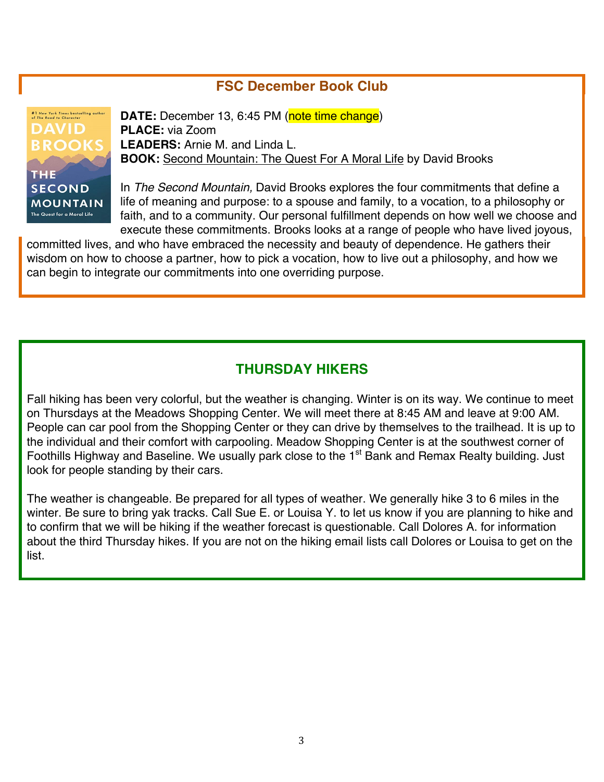### **FSC December Book Club**

#1 New York Times bestselling author<br>of The Road to Character **DAVID BROOKS** THE **SECOND MOUNTAIN** The Quest for a Moral Life

**DATE:** December 13, 6:45 PM (note time change) **PLACE:** via Zoom **LEADERS:** Arnie M. and Linda L. **BOOK:** Second Mountain: The Quest For A Moral Life by David Brooks

In *The Second Mountain,* David Brooks explores the four commitments that define a life of meaning and purpose: to a spouse and family, to a vocation, to a philosophy or faith, and to a community. Our personal fulfillment depends on how well we choose and execute these commitments. Brooks looks at a range of people who have lived joyous,

committed lives, and who have embraced the necessity and beauty of dependence. He gathers their wisdom on how to choose a partner, how to pick a vocation, how to live out a philosophy, and how we can begin to integrate our commitments into one overriding purpose.

#### **THURSDAY HIKERS**

Fall hiking has been very colorful, but the weather is changing. Winter is on its way. We continue to meet on Thursdays at the Meadows Shopping Center. We will meet there at 8:45 AM and leave at 9:00 AM. People can car pool from the Shopping Center or they can drive by themselves to the trailhead. It is up to the individual and their comfort with carpooling. Meadow Shopping Center is at the southwest corner of Foothills Highway and Baseline. We usually park close to the 1<sup>st</sup> Bank and Remax Realty building. Just look for people standing by their cars.

The weather is changeable. Be prepared for all types of weather. We generally hike 3 to 6 miles in the winter. Be sure to bring yak tracks. Call Sue E. or Louisa Y. to let us know if you are planning to hike and to confirm that we will be hiking if the weather forecast is questionable. Call Dolores A. for information about the third Thursday hikes. If you are not on the hiking email lists call Dolores or Louisa to get on the list.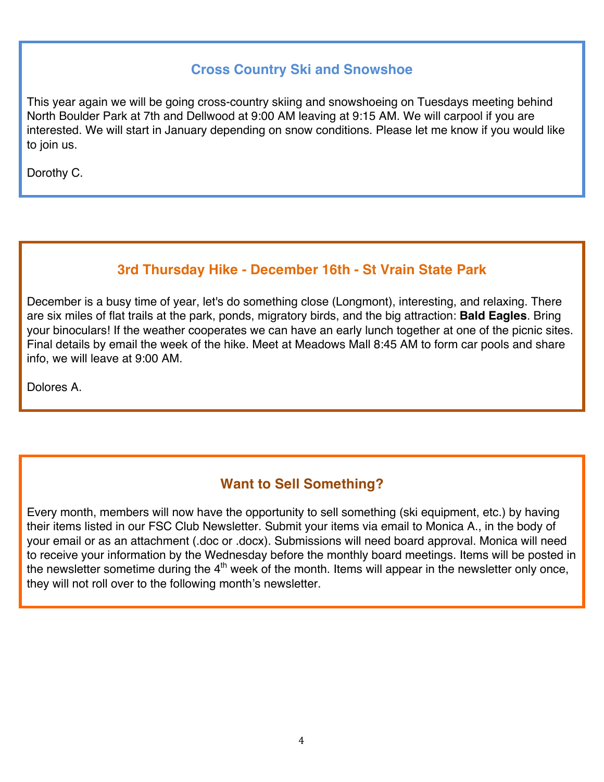## **Cross Country Ski and Snowshoe**

This year again we will be going cross-country skiing and snowshoeing on Tuesdays meeting behind North Boulder Park at 7th and Dellwood at 9:00 AM leaving at 9:15 AM. We will carpool if you are interested. We will start in January depending on snow conditions. Please let me know if you would like to join us.

Dorothy C.

## **3rd Thursday Hike - December 16th - St Vrain State Park**

December is a busy time of year, let's do something close (Longmont), interesting, and relaxing. There are six miles of flat trails at the park, ponds, migratory birds, and the big attraction: **Bald Eagles**. Bring your binoculars! If the weather cooperates we can have an early lunch together at one of the picnic sites. Final details by email the week of the hike. Meet at Meadows Mall 8:45 AM to form car pools and share info, we will leave at 9:00 AM.

Dolores A.

## **Want to Sell Something?**

Every month, members will now have the opportunity to sell something (ski equipment, etc.) by having their items listed in our FSC Club Newsletter. Submit your items via email to Monica A., in the body of your email or as an attachment (.doc or .docx). Submissions will need board approval. Monica will need to receive your information by the Wednesday before the monthly board meetings. Items will be posted in the newsletter sometime during the 4<sup>th</sup> week of the month. Items will appear in the newsletter only once, they will not roll over to the following month's newsletter.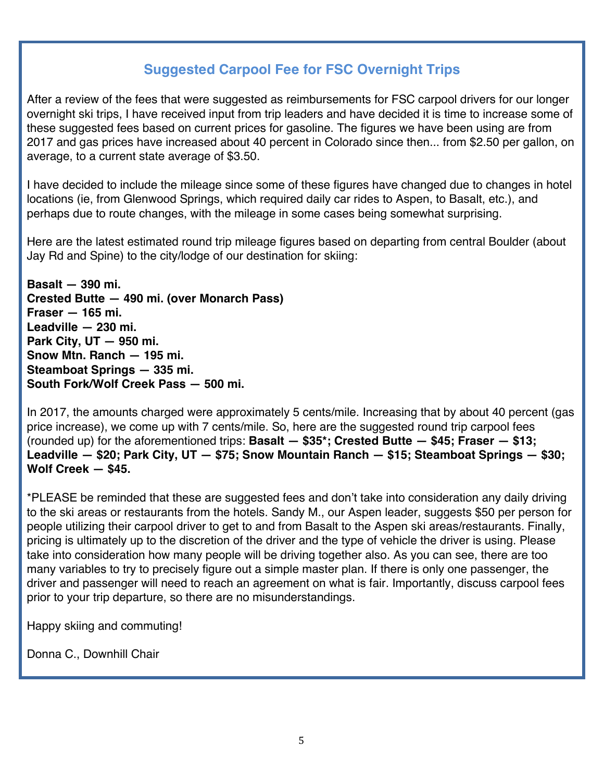## **Suggested Carpool Fee for FSC Overnight Trips**

After a review of the fees that were suggested as reimbursements for FSC carpool drivers for our longer overnight ski trips, I have received input from trip leaders and have decided it is time to increase some of these suggested fees based on current prices for gasoline. The figures we have been using are from 2017 and gas prices have increased about 40 percent in Colorado since then... from \$2.50 per gallon, on average, to a current state average of \$3.50.

I have decided to include the mileage since some of these figures have changed due to changes in hotel locations (ie, from Glenwood Springs, which required daily car rides to Aspen, to Basalt, etc.), and perhaps due to route changes, with the mileage in some cases being somewhat surprising.

Here are the latest estimated round trip mileage figures based on departing from central Boulder (about Jay Rd and Spine) to the city/lodge of our destination for skiing:

**Basalt — 390 mi. Crested Butte — 490 mi. (over Monarch Pass) Fraser — 165 mi. Leadville — 230 mi. Park City, UT — 950 mi. Snow Mtn. Ranch — 195 mi. Steamboat Springs — 335 mi. South Fork/Wolf Creek Pass — 500 mi.**

In 2017, the amounts charged were approximately 5 cents/mile. Increasing that by about 40 percent (gas price increase), we come up with 7 cents/mile. So, here are the suggested round trip carpool fees (rounded up) for the aforementioned trips: **Basalt — \$35\*; Crested Butte — \$45; Fraser — \$13; Leadville — \$20; Park City, UT — \$75; Snow Mountain Ranch — \$15; Steamboat Springs — \$30; Wolf Creek — \$45.**

\*PLEASE be reminded that these are suggested fees and don't take into consideration any daily driving to the ski areas or restaurants from the hotels. Sandy M., our Aspen leader, suggests \$50 per person for people utilizing their carpool driver to get to and from Basalt to the Aspen ski areas/restaurants*.* Finally, pricing is ultimately up to the discretion of the driver and the type of vehicle the driver is using. Please take into consideration how many people will be driving together also. As you can see, there are too many variables to try to precisely figure out a simple master plan. If there is only one passenger, the driver and passenger will need to reach an agreement on what is fair. Importantly, discuss carpool fees prior to your trip departure, so there are no misunderstandings.

Happy skiing and commuting!

Donna C., Downhill Chair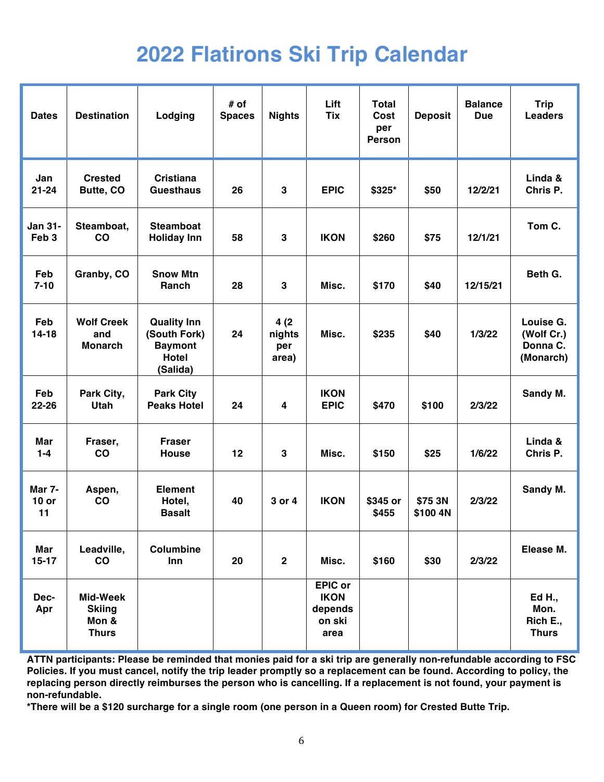# **2022 Flatirons Ski Trip Calendar**

| <b>Dates</b>                       | <b>Destination</b>                                 | Lodging                                                                          | $#$ of<br><b>Spaces</b> | <b>Nights</b>                  | Lift<br><b>Tix</b>                                         | Total<br>Cost<br>per<br><b>Person</b> | <b>Deposit</b>      | <b>Balance</b><br><b>Due</b> | <b>Trip</b><br><b>Leaders</b>                    |
|------------------------------------|----------------------------------------------------|----------------------------------------------------------------------------------|-------------------------|--------------------------------|------------------------------------------------------------|---------------------------------------|---------------------|------------------------------|--------------------------------------------------|
| Jan<br>$21 - 24$                   | <b>Crested</b><br>Butte, CO                        | <b>Cristiana</b><br><b>Guesthaus</b>                                             | 26                      | $\mathbf{3}$                   | <b>EPIC</b>                                                | \$325*                                | \$50                | 12/2/21                      | Linda &<br>Chris P.                              |
| <b>Jan 31-</b><br>Feb <sub>3</sub> | Steamboat,<br>CO                                   | <b>Steamboat</b><br><b>Holiday Inn</b>                                           | 58                      | $\mathbf{3}$                   | <b>IKON</b>                                                | \$260                                 | \$75                | 12/1/21                      | Tom C.                                           |
| Feb<br>$7 - 10$                    | Granby, CO                                         | <b>Snow Mtn</b><br>Ranch                                                         | 28                      | $\mathbf{3}$                   | Misc.                                                      | \$170                                 | \$40                | 12/15/21                     | Beth G.                                          |
| Feb<br>$14 - 18$                   | <b>Wolf Creek</b><br>and<br><b>Monarch</b>         | <b>Quality Inn</b><br>(South Fork)<br><b>Baymont</b><br><b>Hotel</b><br>(Salida) | 24                      | 4(2)<br>nights<br>per<br>area) | Misc.                                                      | \$235                                 | \$40                | 1/3/22                       | Louise G.<br>(Wolf Cr.)<br>Donna C.<br>(Monarch) |
| Feb<br>22-26                       | Park City,<br><b>Utah</b>                          | <b>Park City</b><br><b>Peaks Hotel</b>                                           | 24                      | $\overline{\mathbf{4}}$        | <b>IKON</b><br><b>EPIC</b>                                 | \$470                                 | \$100               | 2/3/22                       | Sandy M.                                         |
| Mar<br>$1 - 4$                     | Fraser,<br>CO                                      | <b>Fraser</b><br><b>House</b>                                                    | 12                      | 3                              | Misc.                                                      | \$150                                 | \$25                | 1/6/22                       | Linda &<br>Chris P.                              |
| <b>Mar 7-</b><br>$10$ or<br>11     | Aspen,<br>CO                                       | <b>Element</b><br>Hotel,<br><b>Basalt</b>                                        | 40                      | 3 or 4                         | <b>IKON</b>                                                | \$345 or<br>\$455                     | \$75 3N<br>\$100 4N | 2/3/22                       | Sandy M.                                         |
| Mar<br>$15-17$                     | Leadville,<br>co                                   | Columbine<br>Inn                                                                 | 20                      | $\mathbf{2}$                   | Misc.                                                      | \$160                                 | \$30                | 2/3/22                       | Elease M.                                        |
| Dec-<br>Apr                        | Mid-Week<br><b>Skiing</b><br>Mon &<br><b>Thurs</b> |                                                                                  |                         |                                | <b>EPIC or</b><br><b>IKON</b><br>depends<br>on ski<br>area |                                       |                     |                              | Ed H.,<br>Mon.<br>Rich E.,<br><b>Thurs</b>       |

**ATTN participants: Please be reminded that monies paid for a ski trip are generally non-refundable according to FSC Policies. If you must cancel, notify the trip leader promptly so a replacement can be found. According to policy, the replacing person directly reimburses the person who is cancelling. If a replacement is not found, your payment is non-refundable.**

**\*There will be a \$120 surcharge for a single room (one person in a Queen room) for Crested Butte Trip.**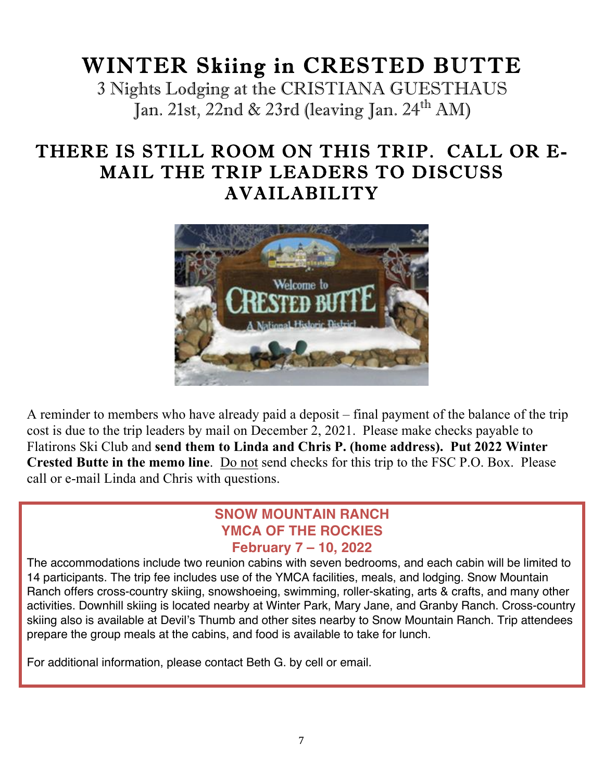# WINTER Skiing in CRESTED BUTTE

3 Nights Lodging at the CRISTIANA GUESTHAUS Jan. 21st, 22nd & 23rd (leaving Jan. 24<sup>th</sup> AM)

# THERE IS STILL ROOM ON THIS TRIP. CALL OR E-MAIL THE TRIP LEADERS TO DISCUSS AVAILABILITY



A reminder to members who have already paid a deposit – final payment of the balance of the trip cost is due to the trip leaders by mail on December 2, 2021. Please make checks payable to Flatirons Ski Club and **send them to Linda and Chris P. (home address). Put 2022 Winter Crested Butte in the memo line**. Do not send checks for this trip to the FSC P.O. Box. Please call or e-mail Linda and Chris with questions.

#### **SNOW MOUNTAIN RANCH YMCA OF THE ROCKIES February 7 – 10, 2022**

The accommodations include two reunion cabins with seven bedrooms, and each cabin will be limited to 14 participants. The trip fee includes use of the YMCA facilities, meals, and lodging. Snow Mountain Ranch offers cross-country skiing, snowshoeing, swimming, roller-skating, arts & crafts, and many other activities. Downhill skiing is located nearby at Winter Park, Mary Jane, and Granby Ranch. Cross-country skiing also is available at Devil's Thumb and other sites nearby to Snow Mountain Ranch. Trip attendees prepare the group meals at the cabins, and food is available to take for lunch.

For additional information, please contact Beth G. by cell or email.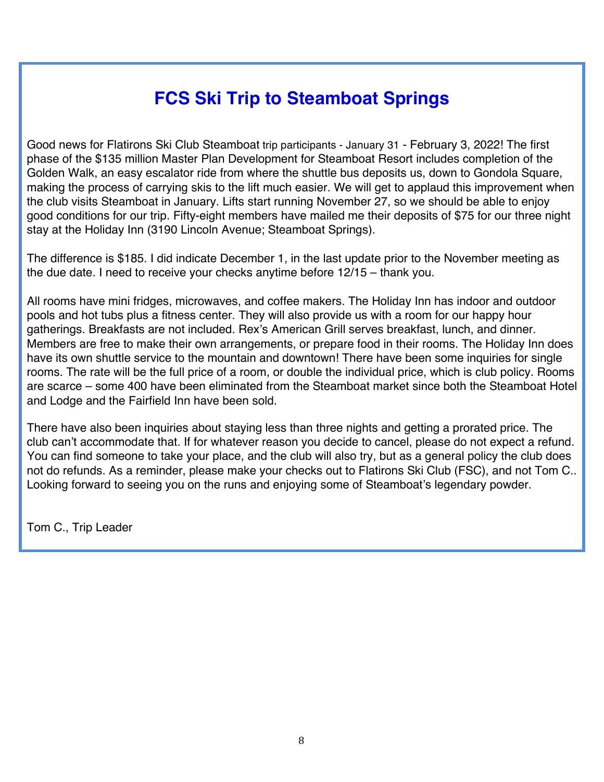# **FCS Ski Trip to Steamboat Springs**

Good news for Flatirons Ski Club Steamboat trip participants - January 31 - February 3, 2022! The first phase of the \$135 million Master Plan Development for Steamboat Resort includes completion of the Golden Walk, an easy escalator ride from where the shuttle bus deposits us, down to Gondola Square, making the process of carrying skis to the lift much easier. We will get to applaud this improvement when the club visits Steamboat in January. Lifts start running November 27, so we should be able to enjoy good conditions for our trip. Fifty-eight members have mailed me their deposits of \$75 for our three night stay at the Holiday Inn (3190 Lincoln Avenue; Steamboat Springs).

The difference is \$185. I did indicate December 1, in the last update prior to the November meeting as the due date. I need to receive your checks anytime before 12/15 – thank you.

All rooms have mini fridges, microwaves, and coffee makers. The Holiday Inn has indoor and outdoor pools and hot tubs plus a fitness center. They will also provide us with a room for our happy hour gatherings. Breakfasts are not included. Rex's American Grill serves breakfast, lunch, and dinner. Members are free to make their own arrangements, or prepare food in their rooms. The Holiday Inn does have its own shuttle service to the mountain and downtown! There have been some inquiries for single rooms. The rate will be the full price of a room, or double the individual price, which is club policy. Rooms are scarce – some 400 have been eliminated from the Steamboat market since both the Steamboat Hotel and Lodge and the Fairfield Inn have been sold.

There have also been inquiries about staying less than three nights and getting a prorated price. The club can't accommodate that. If for whatever reason you decide to cancel, please do not expect a refund. You can find someone to take your place, and the club will also try, but as a general policy the club does not do refunds. As a reminder, please make your checks out to Flatirons Ski Club (FSC), and not Tom C.. Looking forward to seeing you on the runs and enjoying some of Steamboat's legendary powder.

Tom C., Trip Leader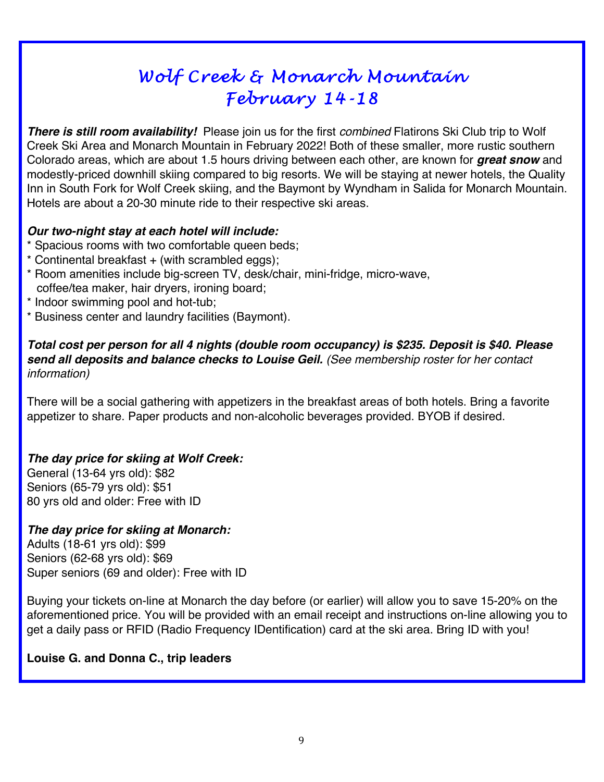# *Wolf Creek & Monarch Mountain February 14-18*

*There is still room availability!* Please join us for the first *combined* Flatirons Ski Club trip to Wolf Creek Ski Area and Monarch Mountain in February 2022! Both of these smaller, more rustic southern Colorado areas, which are about 1.5 hours driving between each other, are known for *great snow* and modestly-priced downhill skiing compared to big resorts. We will be staying at newer hotels, the Quality Inn in South Fork for Wolf Creek skiing, and the Baymont by Wyndham in Salida for Monarch Mountain. Hotels are about a 20-30 minute ride to their respective ski areas.

#### *Our two-night stay at each hotel will include:*

- \* Spacious rooms with two comfortable queen beds;
- $*$  Continental breakfast  $+$  (with scrambled eggs);
- \* Room amenities include big-screen TV, desk/chair, mini-fridge, micro-wave, coffee/tea maker, hair dryers, ironing board;
- Indoor swimming pool and hot-tub;
- \* Business center and laundry facilities (Baymont).

#### *Total cost per person for all 4 nights (double room occupancy) is \$235. Deposit is \$40. Please send all deposits and balance checks to Louise Geil. (See membership roster for her contact information)*

There will be a social gathering with appetizers in the breakfast areas of both hotels. Bring a favorite appetizer to share. Paper products and non-alcoholic beverages provided. BYOB if desired.

#### *The day price for skiing at Wolf Creek:*

General (13-64 yrs old): \$82 Seniors (65-79 yrs old): \$51 80 yrs old and older: Free with ID

#### *The day price for skiing at Monarch:*

Adults (18-61 yrs old): \$99 Seniors (62-68 yrs old): \$69 Super seniors (69 and older): Free with ID

Buying your tickets on-line at Monarch the day before (or earlier) will allow you to save 15-20% on the aforementioned price. You will be provided with an email receipt and instructions on-line allowing you to get a daily pass or RFID (Radio Frequency IDentification) card at the ski area. Bring ID with you!

#### **Louise G. and Donna C., trip leaders**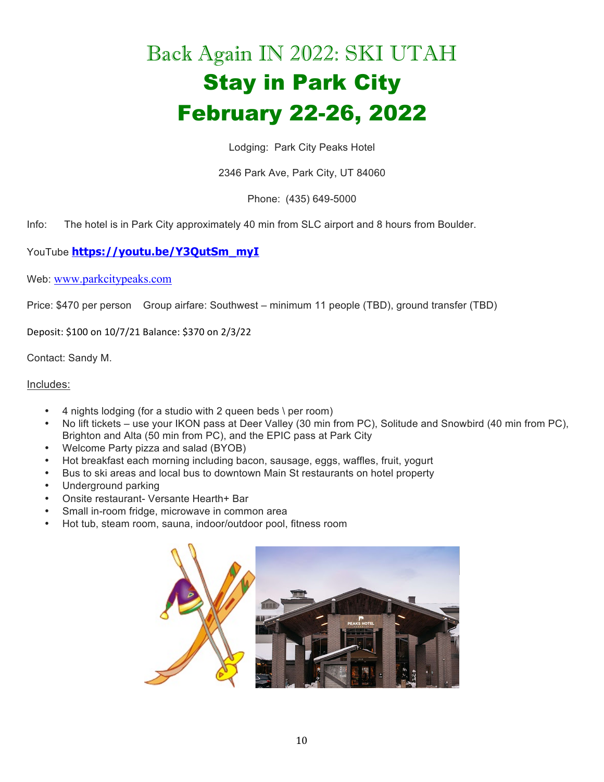# Back Again IN 2022: SKI UTAH Stay in Park City February 22-26, 2022

Lodging: Park City Peaks Hotel

2346 Park Ave, Park City, UT 84060

Phone: (435) 649-5000

Info: The hotel is in Park City approximately 40 min from SLC airport and 8 hours from Boulder.

YouTube **https://youtu.be/Y3QutSm\_myI**

Web: www.parkcitypeaks.com

Price: \$470 per person Group airfare: Southwest – minimum 11 people (TBD), ground transfer (TBD)

Deposit: \$100 on 10/7/21 Balance: \$370 on 2/3/22

Contact: Sandy M.

#### Includes:

- $\cdot$  4 nights lodging (for a studio with 2 queen beds \ per room)
- No lift tickets use your IKON pass at Deer Valley (30 min from PC), Solitude and Snowbird (40 min from PC), Brighton and Alta (50 min from PC), and the EPIC pass at Park City
- Welcome Party pizza and salad (BYOB)
- Hot breakfast each morning including bacon, sausage, eggs, waffles, fruit, yogurt
- Bus to ski areas and local bus to downtown Main St restaurants on hotel property
- Underground parking
- Onsite restaurant- Versante Hearth+ Bar
- Small in-room fridge, microwave in common area
- Hot tub, steam room, sauna, indoor/outdoor pool, fitness room

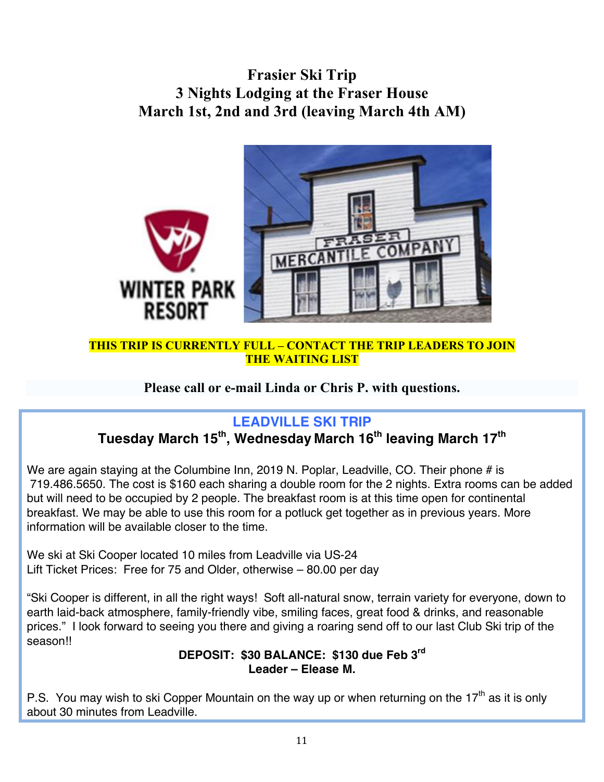## **Frasier Ski Trip 3 Nights Lodging at the Fraser House March 1st, 2nd and 3rd (leaving March 4th AM)**



#### **THIS TRIP IS CURRENTLY FULL – CONTACT THE TRIP LEADERS TO JOIN THE WAITING LIST**

#### **Please call or e-mail Linda or Chris P. with questions.**

### **LEADVILLE SKI TRIP**

# **Tuesday March 15th, Wednesday March 16th leaving March 17th**

We are again staying at the Columbine Inn, 2019 N. Poplar, Leadville, CO. Their phone # is 719.486.5650. The cost is \$160 each sharing a double room for the 2 nights. Extra rooms can be added but will need to be occupied by 2 people. The breakfast room is at this time open for continental breakfast. We may be able to use this room for a potluck get together as in previous years. More information will be available closer to the time.

We ski at Ski Cooper located 10 miles from Leadville via US-24 Lift Ticket Prices: Free for 75 and Older, otherwise – 80.00 per day

"Ski Cooper is different, in all the right ways! Soft all-natural snow, terrain variety for everyone, down to earth laid-back atmosphere, family-friendly vibe, smiling faces, great food & drinks, and reasonable prices." I look forward to seeing you there and giving a roaring send off to our last Club Ski trip of the season!!

#### **DEPOSIT: \$30 BALANCE: \$130 due Feb 3rd Leader – Elease M.**

P.S. You may wish to ski Copper Mountain on the way up or when returning on the 17<sup>th</sup> as it is only about 30 minutes from Leadville.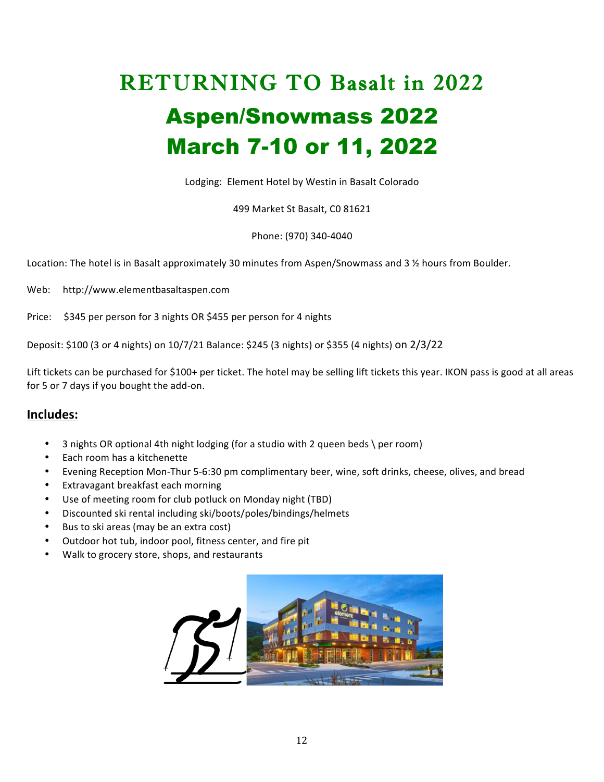# RETURNING TO Basalt in 2022 Aspen/Snowmass 2022 March 7-10 or 11, 2022

Lodging: Element Hotel by Westin in Basalt Colorado

499 Market St Basalt, C0 81621

Phone: (970) 340-4040

Location: The hotel is in Basalt approximately 30 minutes from Aspen/Snowmass and 3  $\frac{1}{2}$  hours from Boulder.

Web: http://www.elementbasaltaspen.com

Price: \$345 per person for 3 nights OR \$455 per person for 4 nights

Deposit: \$100 (3 or 4 nights) on 10/7/21 Balance: \$245 (3 nights) or \$355 (4 nights) on 2/3/22

Lift tickets can be purchased for \$100+ per ticket. The hotel may be selling lift tickets this year. IKON pass is good at all areas for 5 or 7 days if you bought the add-on.

#### **Includes:**

- 3 nights OR optional 4th night lodging (for a studio with 2 queen beds \ per room)
- Each room has a kitchenette
- Evening Reception Mon-Thur 5-6:30 pm complimentary beer, wine, soft drinks, cheese, olives, and bread
- Extravagant breakfast each morning
- Use of meeting room for club potluck on Monday night (TBD)
- Discounted ski rental including ski/boots/poles/bindings/helmets
- Bus to ski areas (may be an extra cost)
- Outdoor hot tub, indoor pool, fitness center, and fire pit
- Walk to grocery store, shops, and restaurants

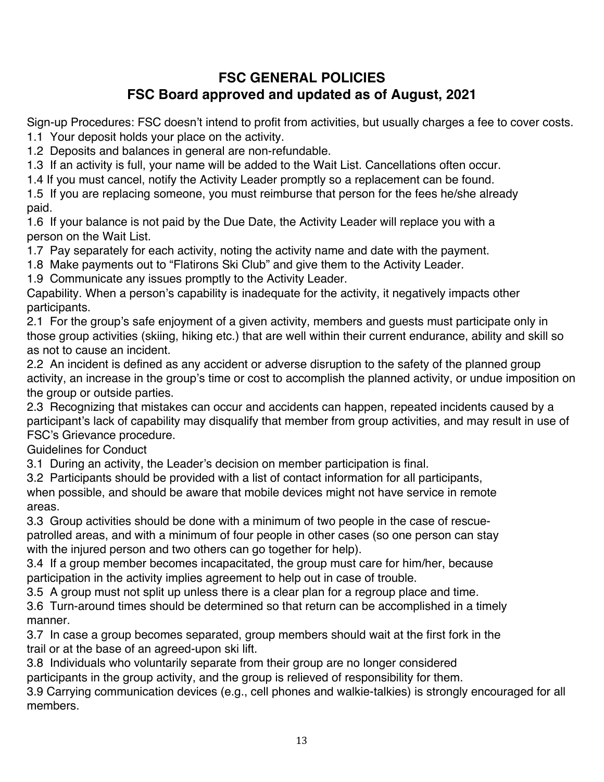## **FSC GENERAL POLICIES FSC Board approved and updated as of August, 2021**

Sign-up Procedures: FSC doesn't intend to profit from activities, but usually charges a fee to cover costs. 1.1 Your deposit holds your place on the activity.

1.2 Deposits and balances in general are non-refundable.

1.3 If an activity is full, your name will be added to the Wait List. Cancellations often occur.

1.4 If you must cancel, notify the Activity Leader promptly so a replacement can be found.

1.5 If you are replacing someone, you must reimburse that person for the fees he/she already paid.

1.6 If your balance is not paid by the Due Date, the Activity Leader will replace you with a person on the Wait List.

1.7 Pay separately for each activity, noting the activity name and date with the payment.

1.8 Make payments out to "Flatirons Ski Club" and give them to the Activity Leader.

1.9 Communicate any issues promptly to the Activity Leader.

Capability. When a person's capability is inadequate for the activity, it negatively impacts other participants.

2.1 For the group's safe enjoyment of a given activity, members and guests must participate only in those group activities (skiing, hiking etc.) that are well within their current endurance, ability and skill so as not to cause an incident.

2.2 An incident is defined as any accident or adverse disruption to the safety of the planned group activity, an increase in the group's time or cost to accomplish the planned activity, or undue imposition on the group or outside parties.

2.3 Recognizing that mistakes can occur and accidents can happen, repeated incidents caused by a participant's lack of capability may disqualify that member from group activities, and may result in use of FSC's Grievance procedure.

Guidelines for Conduct

3.1 During an activity, the Leader's decision on member participation is final.

3.2 Participants should be provided with a list of contact information for all participants,

when possible, and should be aware that mobile devices might not have service in remote areas.

3.3 Group activities should be done with a minimum of two people in the case of rescuepatrolled areas, and with a minimum of four people in other cases (so one person can stay with the injured person and two others can go together for help).

3.4 If a group member becomes incapacitated, the group must care for him/her, because participation in the activity implies agreement to help out in case of trouble.

3.5 A group must not split up unless there is a clear plan for a regroup place and time.

3.6 Turn-around times should be determined so that return can be accomplished in a timely manner.

3.7 In case a group becomes separated, group members should wait at the first fork in the trail or at the base of an agreed-upon ski lift.

3.8 Individuals who voluntarily separate from their group are no longer considered

participants in the group activity, and the group is relieved of responsibility for them.

3.9 Carrying communication devices (e.g., cell phones and walkie-talkies) is strongly encouraged for all members.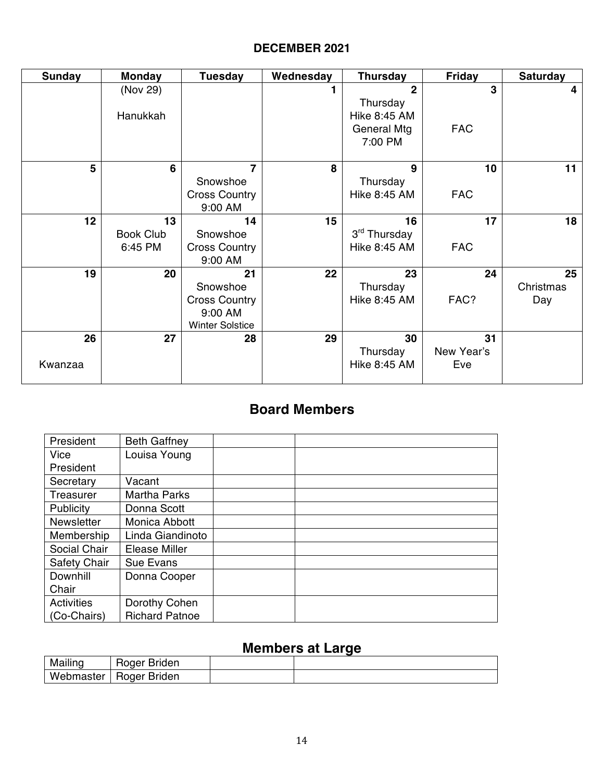#### **DECEMBER 2021**

| <b>Sunday</b> | <b>Monday</b>    | <b>Tuesday</b>         | Wednesday | <b>Thursday</b>     | <b>Friday</b>   | <b>Saturday</b> |
|---------------|------------------|------------------------|-----------|---------------------|-----------------|-----------------|
|               | (Nov 29)         |                        |           | $\overline{2}$      | 3               | 4               |
|               |                  |                        |           | Thursday            |                 |                 |
|               | Hanukkah         |                        |           | <b>Hike 8:45 AM</b> |                 |                 |
|               |                  |                        |           | <b>General Mtg</b>  | <b>FAC</b>      |                 |
|               |                  |                        |           | 7:00 PM             |                 |                 |
| 5             | 6                | 7                      | 8         | 9                   | 10 <sub>1</sub> |                 |
|               |                  |                        |           |                     |                 | 11              |
|               |                  | Snowshoe               |           | Thursday            |                 |                 |
|               |                  | <b>Cross Country</b>   |           | <b>Hike 8:45 AM</b> | <b>FAC</b>      |                 |
|               |                  | 9:00 AM                |           |                     |                 |                 |
| 12            | 13               | 14                     | 15        | 16                  | 17              | 18              |
|               | <b>Book Club</b> | Snowshoe               |           | 3rd Thursday        |                 |                 |
|               | 6:45 PM          | <b>Cross Country</b>   |           | Hike 8:45 AM        | <b>FAC</b>      |                 |
|               |                  | 9:00 AM                |           |                     |                 |                 |
| 19            | 20               | 21                     | 22        | 23                  | 24              | 25              |
|               |                  | Snowshoe               |           | Thursday            |                 | Christmas       |
|               |                  | <b>Cross Country</b>   |           | Hike 8:45 AM        | FAC?            | Day             |
|               |                  | 9:00 AM                |           |                     |                 |                 |
|               |                  | <b>Winter Solstice</b> |           |                     |                 |                 |
| 26            | 27               | 28                     | 29        | 30                  | 31              |                 |
|               |                  |                        |           | Thursday            | New Year's      |                 |
| Kwanzaa       |                  |                        |           | Hike 8:45 AM        | Eve             |                 |
|               |                  |                        |           |                     |                 |                 |

## **Board Members**

| President           | <b>Beth Gaffney</b>   |  |
|---------------------|-----------------------|--|
| Vice                | Louisa Young          |  |
| President           |                       |  |
| Secretary           | Vacant                |  |
| Treasurer           | <b>Martha Parks</b>   |  |
| Publicity           | Donna Scott           |  |
| <b>Newsletter</b>   | Monica Abbott         |  |
| Membership          | Linda Giandinoto      |  |
| Social Chair        | Elease Miller         |  |
| <b>Safety Chair</b> | Sue Evans             |  |
| Downhill            | Donna Cooper          |  |
| Chair               |                       |  |
| <b>Activities</b>   | Dorothy Cohen         |  |
| (Co-Chairs)         | <b>Richard Patnoe</b> |  |

### **Members at Large**

| Mailing   | Roger Briden |  |
|-----------|--------------|--|
| Webmaster | Roger Briden |  |